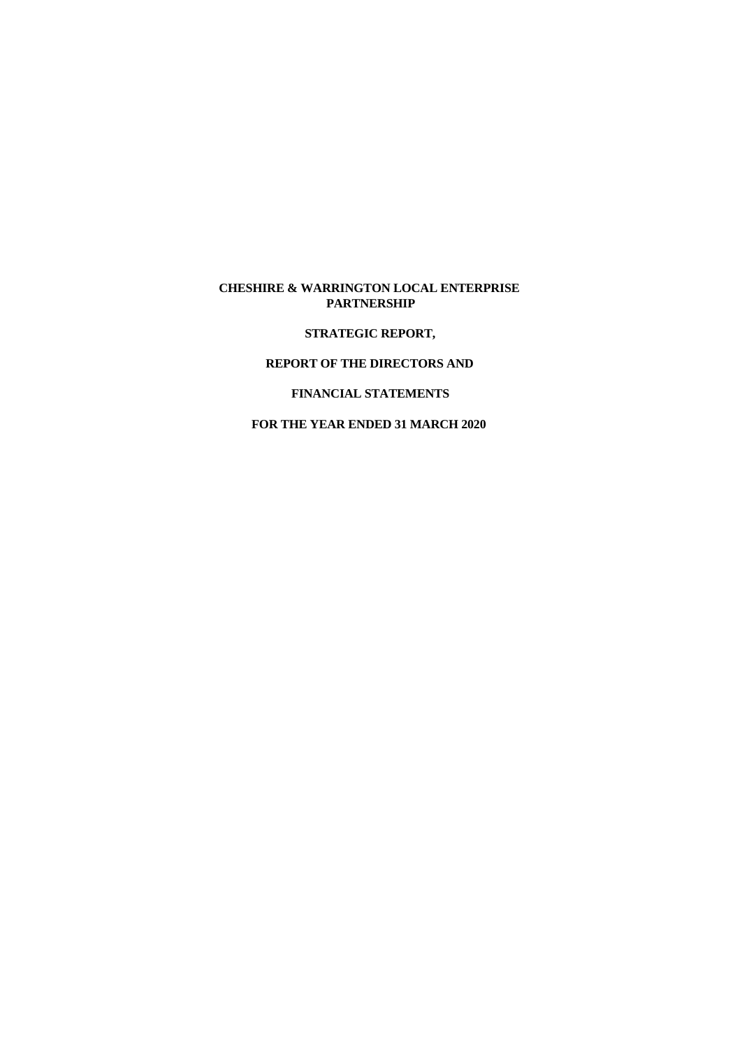### **CHESHIRE & WARRINGTON LOCAL ENTERPRISE PARTNERSHIP**

**STRATEGIC REPORT,**

**REPORT OF THE DIRECTORS AND**

**FINANCIAL STATEMENTS**

**FOR THE YEAR ENDED 31 MARCH 2020**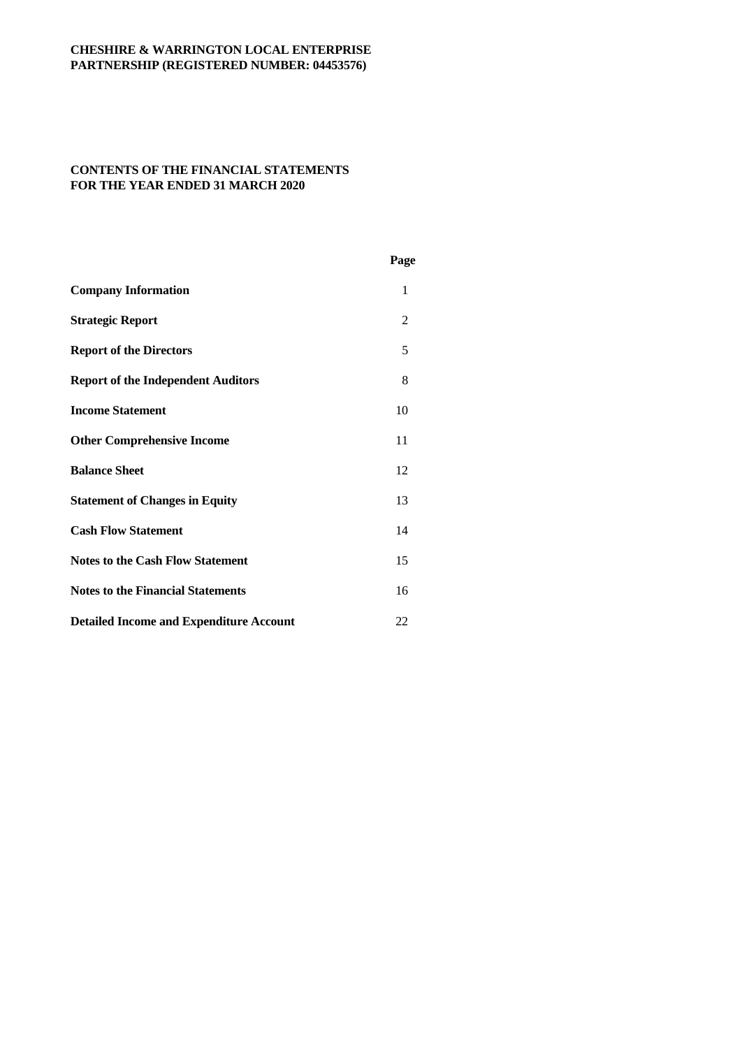# **CONTENTS OF THE FINANCIAL STATEMENTS FOR THE YEAR ENDED 31 MARCH 2020**

|                                                | Page |  |
|------------------------------------------------|------|--|
| <b>Company Information</b>                     | 1    |  |
| <b>Strategic Report</b>                        | 2    |  |
| <b>Report of the Directors</b>                 | 5    |  |
| <b>Report of the Independent Auditors</b>      | 8    |  |
| <b>Income Statement</b>                        | 10   |  |
| <b>Other Comprehensive Income</b>              | 11   |  |
| <b>Balance Sheet</b>                           | 12   |  |
| <b>Statement of Changes in Equity</b>          | 13   |  |
| <b>Cash Flow Statement</b>                     | 14   |  |
| <b>Notes to the Cash Flow Statement</b>        | 15   |  |
| <b>Notes to the Financial Statements</b>       | 16   |  |
| <b>Detailed Income and Expenditure Account</b> | 22   |  |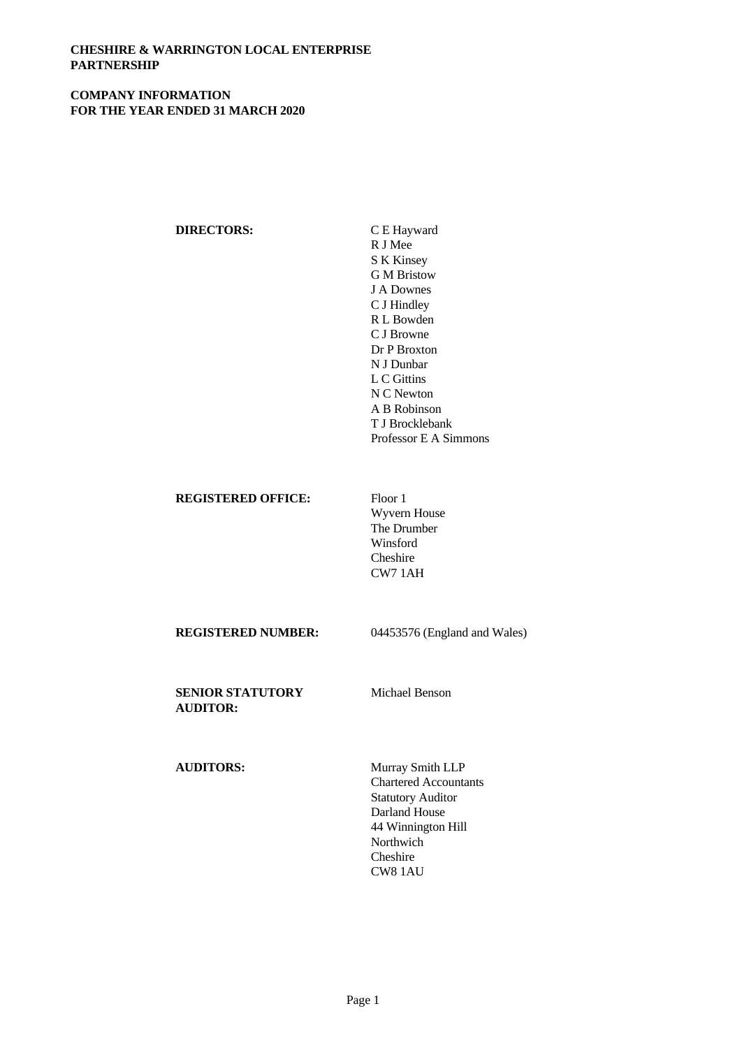# **CHESHIRE & WARRINGTON LOCAL ENTERPRISE PARTNERSHIP**

### **COMPANY INFORMATION FOR THE YEAR ENDED 31 MARCH 2020**

# **DIRECTORS:** C E Hayward

R J Mee S K Kinsey G M Bristow J A Downes C J Hindley R L Bowden C J Browne Dr P Broxton N J Dunbar L C Gittins N C Newton A B Robinson T J Brocklebank Professor E A Simmons

#### **REGISTERED OFFICE:** Floor 1

Wyvern House The Drumber Winsford Cheshire CW7 1AH

**REGISTERED NUMBER:** 04453576 (England and Wales)

**SENIOR STATUTORY** Michael Benson **AUDITOR:** 

**AUDITORS:** Murray Smith LLP Chartered Accountants Statutory Auditor Darland House 44 Winnington Hill Northwich Cheshire CW8 1AU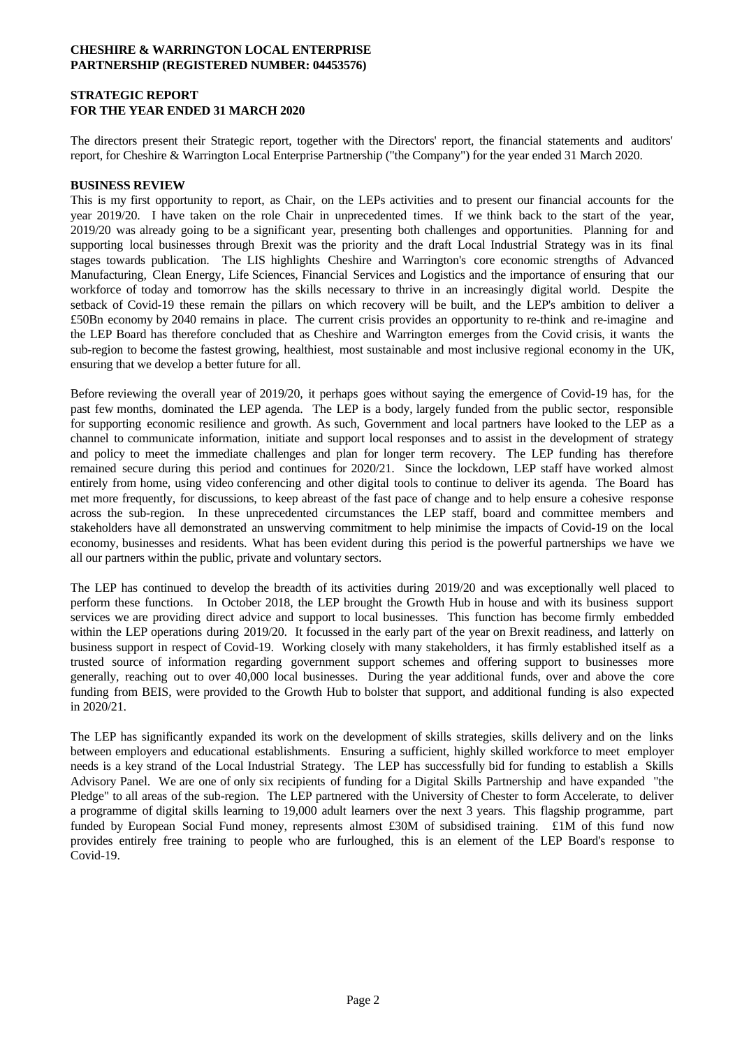### **STRATEGIC REPORT FOR THE YEAR ENDED 31 MARCH 2020**

The directors present their Strategic report, together with the Directors' report, the financial statements and auditors' report, for Cheshire & Warrington Local Enterprise Partnership ("the Company") for the year ended 31 March 2020.

### **BUSINESS REVIEW**

This is my first opportunity to report, as Chair, on the LEPs activities and to present our financial accounts for the year 2019/20. I have taken on the role Chair in unprecedented times. If we think back to the start of the year, 2019/20 was already going to be a significant year, presenting both challenges and opportunities. Planning for and supporting local businesses through Brexit was the priority and the draft Local Industrial Strategy was in its final stages towards publication. The LIS highlights Cheshire and Warrington's core economic strengths of Advanced Manufacturing, Clean Energy, Life Sciences, Financial Services and Logistics and the importance of ensuring that our workforce of today and tomorrow has the skills necessary to thrive in an increasingly digital world. Despite the setback of Covid-19 these remain the pillars on which recovery will be built, and the LEP's ambition to deliver a  $£50Bn$  economy by 2040 remains in place. The current crisis provides an opportunity to re-think and re-imagine and the LEP Board has therefore concluded that as Cheshire and Warrington emerges from the Covid crisis, it wants the sub-region to become the fastest growing, healthiest, most sustainable and most inclusive regional economy in the UK, ensuring that we develop a better future for all.

Before reviewing the overall year of 2019/20, it perhaps goes without saying the emergence of Covid-19 has, for the past few months, dominated the LEP agenda. The LEP is a body, largely funded from the public sector, responsible for supporting economic resilience and growth. As such, Government and local partners have looked to the LEP as a channel to communicate information, initiate and support local responses and to assist in the development of strategy and policy to meet the immediate challenges and plan for longer term recovery. The LEP funding has therefore remained secure during this period and continues for 2020/21. Since the lockdown, LEP staff have worked almost entirely from home, usingvideo conferencing and other digital tools to continue to deliver its agenda. The Board has met more frequently, for discussions, to keep abreast of the fast pace of change and to help ensure a cohesive response across the sub-region. In these unprecedented circumstances the LEP staff, board and committee members and stakeholders have all demonstrated an unswerving commitment to help minimise the impacts of Covid-19 on the local economy, businesses and residents. What has been evident during this period is the powerful partnerships we have we all our partners within the public, private and voluntary sectors.

The LEP has continued to develop the breadth of its activities during 2019/20 and was exceptionally well placed to perform these functions. In October 2018, the LEP brought the Growth Hub in house and with its business support services we are providing direct advice and support to local businesses. This function has become firmly embedded within the LEP operations during 2019/20. It focussed in the early part of the year on Brexit readiness, and latterly on business support in respect of Covid-19. Working closely with many stakeholders, it has firmly established itself as a trusted source of information regarding government support schemes and offering support to businesses more generally, reaching out to over 40,000 local businesses. During the yearadditional funds, over and above the core funding from BEIS, were provided to the Growth Hub to bolster that support, and additional funding is also expected in 2020/21.

The LEP has significantly expanded its work on the development of skills strategies, skills delivery and on the links between employers and educational establishments. Ensuring a sufficient, highly skilled workforce to meet employer needs is a key strand of the Local Industrial Strategy. The LEP has successfully bid for funding to establish a Skills Advisory Panel. We are one of only six recipients of funding for a Digital Skills Partnership and have expanded "the Pledge" to all areas of the sub-region. The LEP partnered with the University of Chester to form Accelerate, to deliver a programme of digital skills learning to 19,000 adult learners over the next 3 years. This flagship programme, part funded by European Social Fund money, represents almost £30M of subsidised training. £1M of this fund now provides entirely free training to people who are furloughed, this is an element of the LEP Board's response to Covid-19.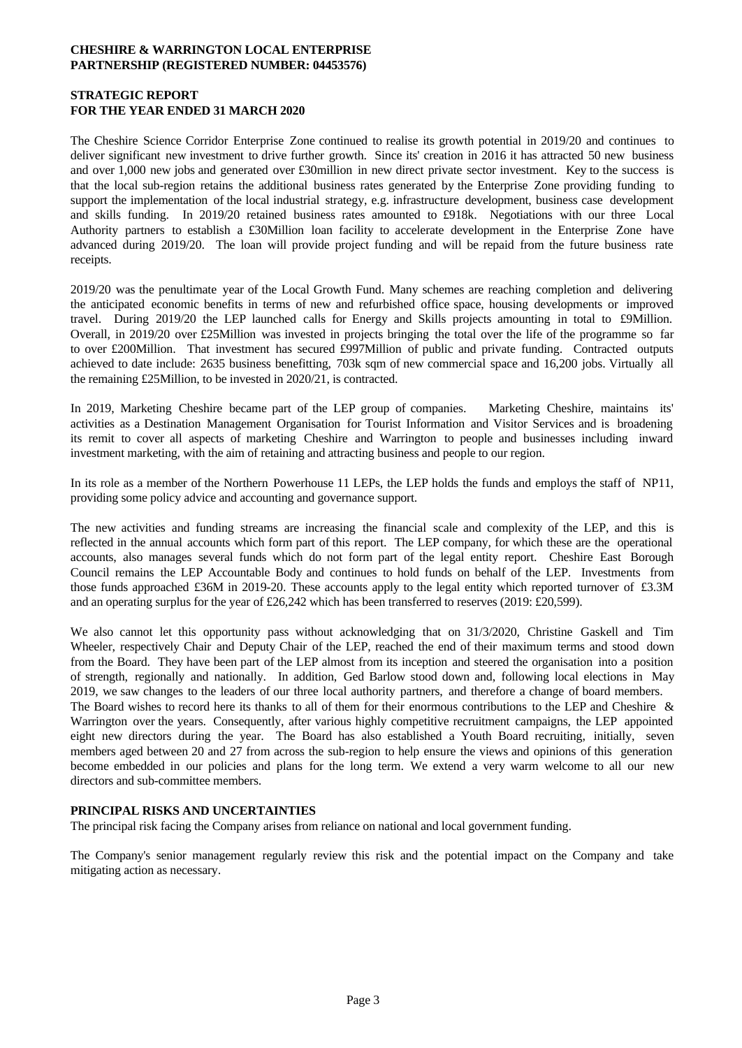### **STRATEGIC REPORT FOR THE YEAR ENDED 31 MARCH 2020**

The Cheshire Science Corridor Enterprise Zone continued to realise its growth potential in 2019/20 and continues to deliver significant new investment to drive further growth. Since its' creation in 2016 ithas attracted 50 new business and over 1,000 new jobs and generated over £30million in new direct private sector investment. Key to the success is that the local sub-region retains the additional business rates generated by the Enterprise Zone providing funding to support the implementation of the local industrial strategy, e.g. infrastructure development, business case development and skills funding. In 2019/20 retained business rates amounted to £918k. Negotiations with our three Local Authority partners to establish a £30Million loan facility to accelerate development in the Enterprise Zone have advanced during 2019/20. The loan will provide project funding and will be repaid from the future business rate receipts.

2019/20 was the penultimate year of the Local Growth Fund. Many schemes are reaching completion and delivering the anticipated economic benefits in terms of new and refurbished office space, housing developments or improved travel. During 2019/20 the LEP launched calls for Energy and Skills projects amounting in total to £9Million. Overall, in 2019/20 over £25Million was invested in projects bringing the total over the life of the programme so far to over £200Million. That investment has secured £997Million of public and private funding. Contracted outputs achieved to date include: 2635 business benefitting, 703k sqm of new commercial space and 16,200 jobs. Virtually all the remaining £25Million, to be invested in 2020/21, is contracted.

In 2019, Marketing Cheshire became part of the LEP group of companies. Marketing Cheshire, maintains its' activities as a Destination Management Organisation for Tourist Information and Visitor Services and is broadening its remit to cover all aspects of marketing Cheshire and Warrington to people and businesses including inward investment marketing, with the aim of retaining and attracting business and people to our region.

In its role as a member of the Northern Powerhouse 11 LEPs, the LEP holds the funds and employs the staffof NP11, providing some policy advice and accounting and governance support.

The new activities and funding streams are increasing the financial scale and complexity of the LEP, and this is reflected in the annual accounts which form part of this report. The LEP company, for which these are the operational accounts, also manages several funds which do not form part of the legal entity report. Cheshire East Borough Council remains the LEP Accountable Body and continues to hold funds on behalf of the LEP. Investments from those funds approached £36M in 2019-20. These accounts apply to the legal entity which reported turnover of £3.3M and an operating surplus for the year of £26,242 which has been transferred to reserves (2019: £20,599).

We also cannot let this opportunity pass without acknowledging that on  $31/3/2020$ , Christine Gaskell and Tim Wheeler, respectively Chair and Deputy Chair of the LEP, reached the end of their maximum terms and stood down from the Board. They have been part of the LEP almost from its inception and steered the organisation into a position of strength, regionally and nationally. In addition, Ged Barlow stood down and, following local elections in May 2019, we saw changes to the leaders of our three local authority partners, and therefore a change of board members. The Board wishes to record here its thanks to all of them for their enormous contributions to the LEP and Cheshire & Warrington over the years. Consequently, after various highly competitive recruitment campaigns, the LEP appointed eight new directors during the year. The Board has also established a Youth Board recruiting, initially, seven members aged between 20 and 27 from across the sub-region to help ensure the views and opinions of this generation become embedded in our policies and plans for the long term. We extend a very warm welcome to all our new directors and sub-committee members.

# **PRINCIPAL RISKS AND UNCERTAINTIES**

The principal risk facing the Company arises from reliance on national and local government funding.

The Company's senior management regularly review this risk and the potential impact on the Company and take mitigating action as necessary.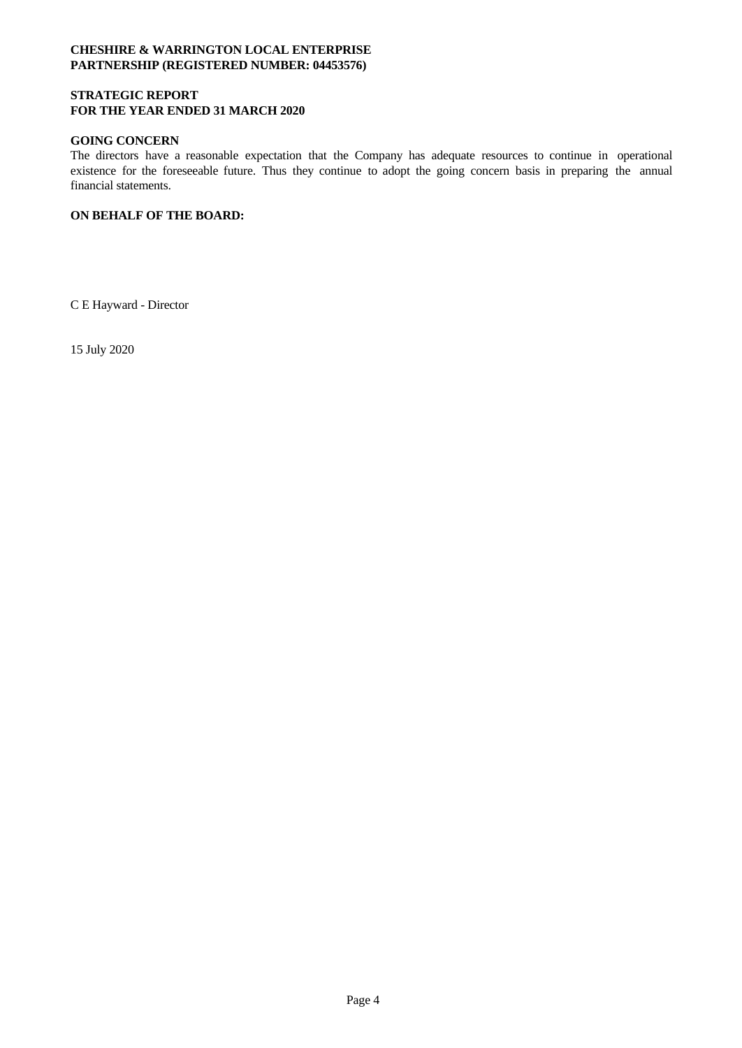### **STRATEGIC REPORT FOR THE YEAR ENDED 31 MARCH 2020**

### **GOING CONCERN**

The directors have a reasonable expectation that the Company has adequate resources to continue in operational existence for the foreseeable future. Thus they continue to adopt the going concern basis in preparing the annual financial statements.

# **ON BEHALF OF THE BOARD:**

C E Hayward - Director

15 July 2020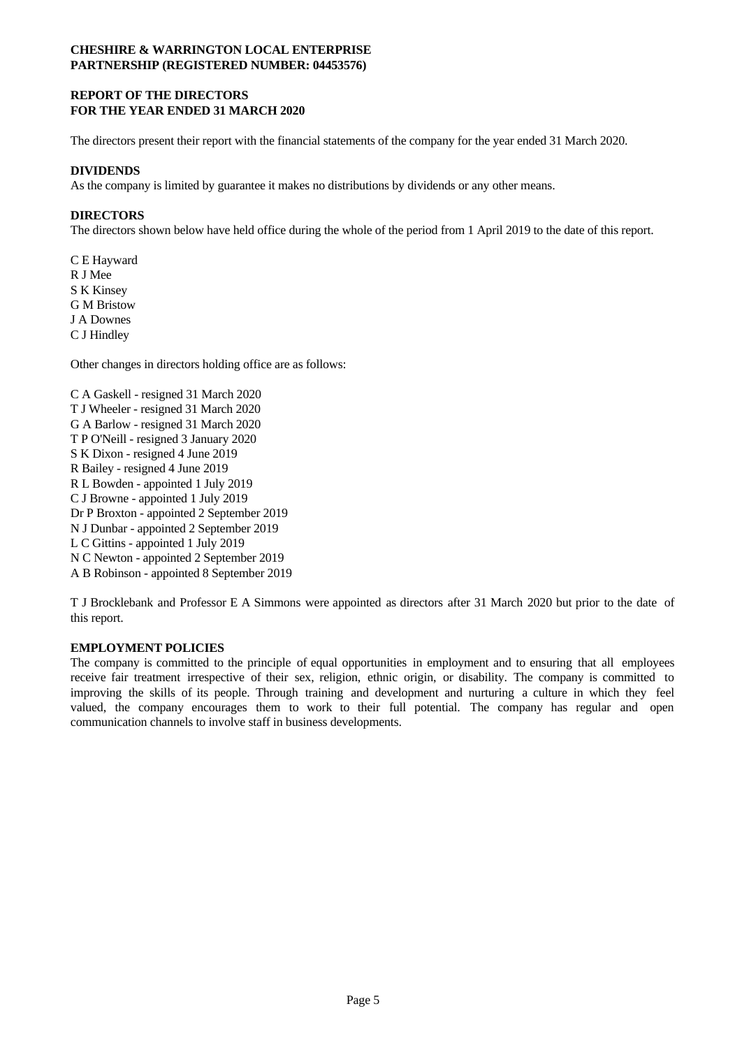## **REPORT OF THE DIRECTORS FOR THE YEAR ENDED 31 MARCH 2020**

The directors present their report with the financial statements of the company for the year ended 31 March 2020.

#### **DIVIDENDS**

As the company is limited by guarantee it makes no distributions by dividends or any other means.

#### **DIRECTORS**

The directors shown below have held office during the whole of the period from 1 April 2019 to the date of this report.

C E Hayward R J Mee S K Kinsey G M Bristow J A Downes C J Hindley

Other changes in directors holding office are as follows:

C A Gaskell - resigned 31 March 2020 T J Wheeler - resigned 31 March 2020 G A Barlow - resigned 31 March 2020 T P O'Neill - resigned 3 January 2020 S K Dixon - resigned 4 June 2019 R Bailey - resigned 4 June 2019 R L Bowden - appointed 1 July 2019 C J Browne - appointed 1 July 2019 Dr P Broxton - appointed 2 September 2019 N J Dunbar - appointed 2 September 2019 L C Gittins - appointed 1 July 2019 N C Newton - appointed 2 September 2019 A B Robinson - appointed 8 September 2019

T J Brocklebank and Professor E A Simmons were appointed as directors after 31 March 2020 but prior to the date of this report.

# **EMPLOYMENT POLICIES**

The company is committed to the principle of equal opportunities in employment and to ensuring that all employees receive fair treatment irrespective of their sex, religion, ethnic origin, or disability. The company is committed to improving the skills of its people. Through training and development and nurturing aculture in which they feel valued, the company encourages them to work to their full potential. The company has regular and open communication channels to involve staff in business developments.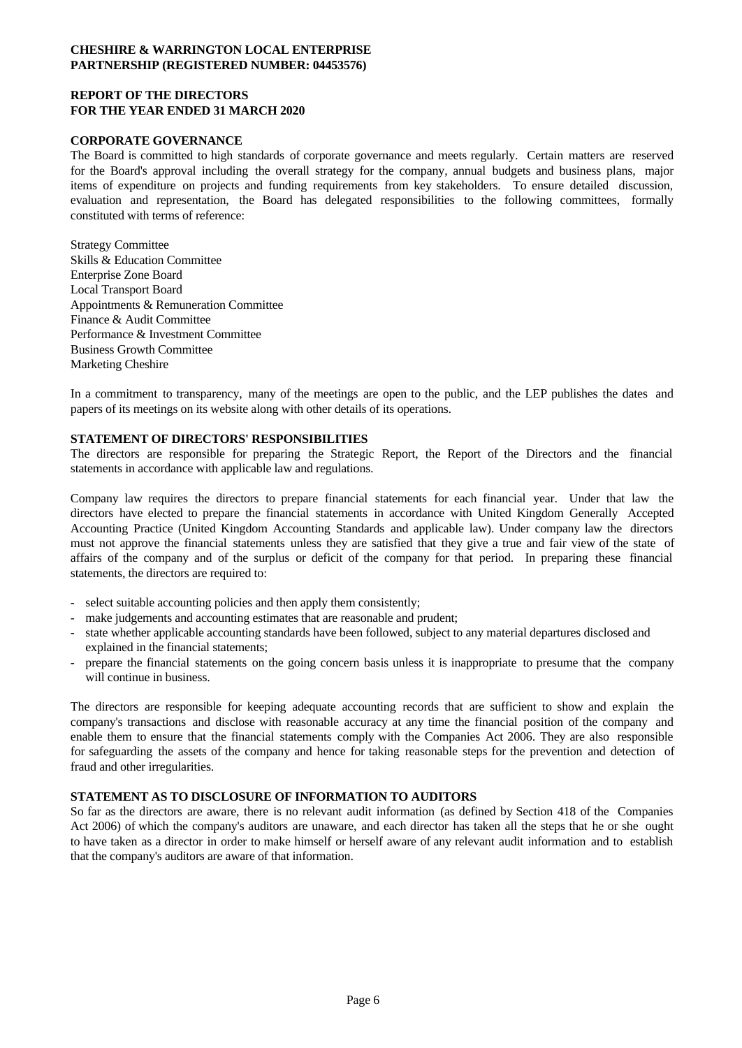### **REPORT OF THE DIRECTORS FOR THE YEAR ENDED 31 MARCH 2020**

## **CORPORATE GOVERNANCE**

The Board is committed to high standards of corporate governance and meets regularly. Certain matters are reserved for the Board's approval including the overall strategy for the company, annual budgets and business plans, major items of expenditure on projects and funding requirements from key stakeholders. To ensure detailed discussion, evaluation and representation, the Board has delegated responsibilities to the following committees, formally constituted with terms of reference:

Strategy Committee Skills & Education Committee Enterprise Zone Board Local Transport Board Appointments & Remuneration Committee Finance & Audit Committee Performance & Investment Committee Business Growth Committee Marketing Cheshire

In a commitment to transparency, many of the meetings are open to the public, and the LEP publishes the dates and papers of its meetings on its website along with other details of its operations.

## **STATEMENT OF DIRECTORS' RESPONSIBILITIES**

The directors are responsible for preparing the Strategic Report, the Report of the Directors and the financial statements in accordance with applicable law and regulations.

Company law requires the directors to prepare financial statements for each financial year. Under that law the directors have elected to prepare the financial statements in accordance with United Kingdom Generally Accepted Accounting Practice (United Kingdom Accounting Standards and applicable law). Under company law the directors must not approve the financial statements unless they are satisfied that they give a true and fair view of the state of affairs of the company and of the surplus or deficit of the company for that period. In preparing these financial

- 
- 
- statements, the directors are required to:<br>
select suitable accounting policies and then apply them consistently;<br>
make judgements and accounting estimates that are reasonable and prudent;<br>
state whether applicable a
- explained in the financial statements;<br>prepare the financial statements on the going concern basis unless it is inappropriate to presume that the company will continue in business.

The directors are responsible for keeping adequate accounting records that are sufficient to show and explain the company's transactions and disclose with reasonable accuracy at any time the financial position of the company and enable them to ensure that the financial statements comply with the Companies Act 2006. They are also responsible for safeguarding the assets of the company and hence for taking reasonable steps for the prevention and detection of fraud and other irregularities.

#### **STATEMENT AS TO DISCLOSURE OF INFORMATION TO AUDITORS**

So far as the directors are aware, there is no relevant audit information (as defined by Section 418 of the Companies Act 2006) of which the company's auditors are unaware, and each director has taken all the steps that he or she ought to have taken as a director in order to make himself or herself aware of any relevant audit information and to establish that the company's auditors are aware of that information.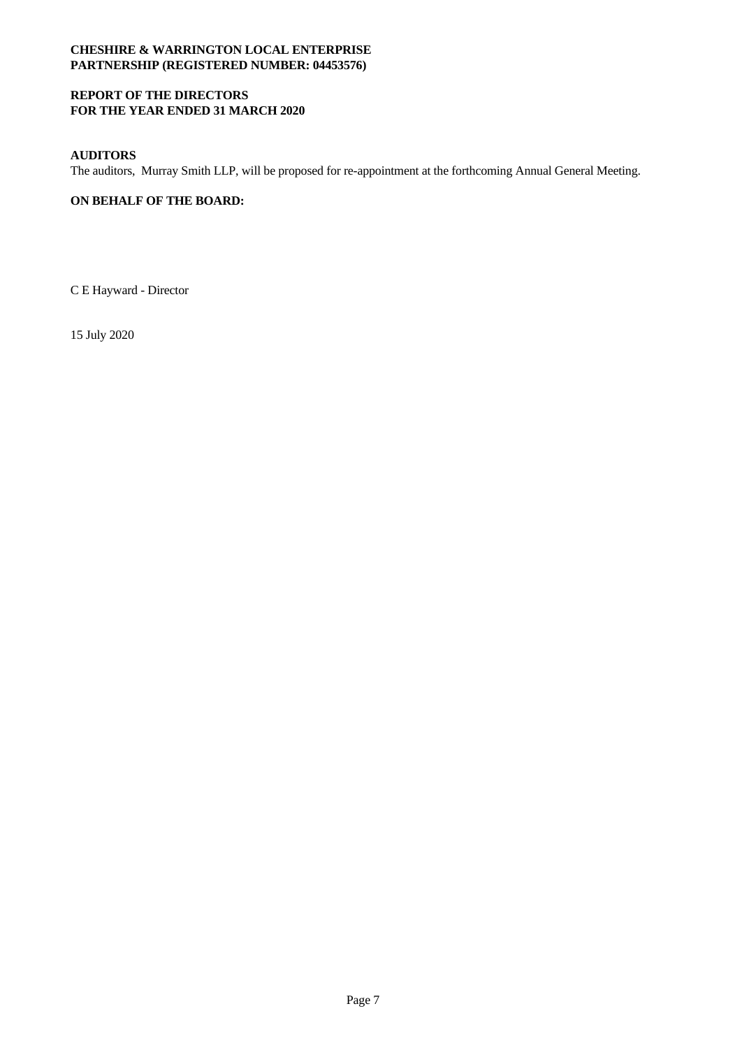## **REPORT OF THE DIRECTORS FOR THE YEAR ENDED 31 MARCH 2020**

# **AUDITORS**

The auditors, Murray Smith LLP, will be proposed for re-appointment at the forthcoming Annual General Meeting.

# **ON BEHALF OF THE BOARD:**

C E Hayward - Director

15 July 2020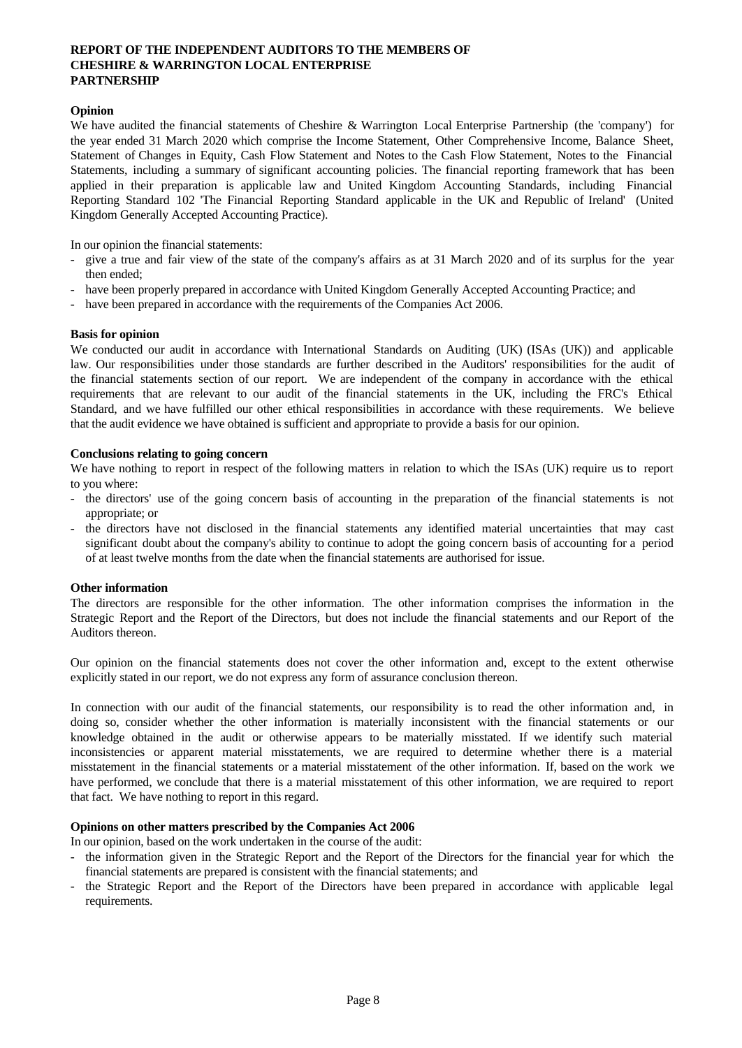## **REPORT OF THE INDEPENDENT AUDITORS TO THE MEMBERS OF CHESHIRE & WARRINGTON LOCAL ENTERPRISE PARTNERSHIP**

#### **Opinion**

We have audited the financial statements of Cheshire & Warrington Local Enterprise Partnership (the 'company') for the year ended 31 March 2020 which comprise the Income Statement, Other Comprehensive Income, Balance Sheet, Statement of Changes in Equity, Cash Flow Statement and Notes to the Cash Flow Statement, Notes to the Financial Statements, including a summary of significant accounting policies. The financial reporting framework that has been applied in their preparation is applicable law and United Kingdom Accounting Standards, including Financial Reporting Standard 102 'The Financial Reporting Standard applicable in the UK and Republic of Ireland' (United Kingdom Generally Accepted Accounting Practice).

In our opinion the financial statements:

- give a true and fair view of the state of the company's affairs as at 31 March 2020 and of its surplus for the year
- then ended;<br>- have been properly prepared in accordance with United Kingdom Generally Accepted Accounting Practice; and<br>- have been prepared in accordance with the requirements of the Companies Act 2006.
- 

#### **Basis for opinion**

We conducted our audit in accordance with International Standards on Auditing (UK) (ISAs (UK)) and applicable law. Our responsibilities under those standards are further described in the Auditors' responsibilities for the audit of the financial statements section of our report. We are independent of the company in accordance with the ethical requirements that are relevant to our audit of the financial statements in the UK, including the FRC's Ethical Standard, and we have fulfilled our other ethical responsibilities in accordance with these requirements. We believe that the audit evidence we have obtained is sufficient and appropriate to provide a basis for our opinion.

#### **Conclusions relating to going concern**

We have nothing to report in respect of the following matters in relation to which the ISAs (UK) require us to report

- to you where: the directors' use of the going concern basis of accounting in the preparation of the financial statements is not
- appropriate; or<br>the directors have not disclosed in the financial statements any identified material uncertainties that may cast significant doubt about the company's ability to continue to adopt the going concern basis of accounting for a period of at least twelve months from the date when the financial statements are authorised for issue.

#### **Other information**

The directors are responsible for the other information. The other information comprises the information in the Strategic Report and the Report of the Directors, but does not include the financial statements and our Report of the Auditors thereon.

Our opinion on the financial statements does not cover the other information and, except to the extent otherwise explicitly stated in our report, we do not express any form of assurance conclusion thereon.

In connection with our audit of the financial statements, our responsibility is to read the other information and, in doing so, consider whether the other information is materially inconsistent with the financial statements or our knowledge obtained in the audit or otherwise appears to be materially misstated. If we identify such material inconsistencies or apparent material misstatements, we are required to determine whether there is a material misstatement in the financial statements or a material misstatement of the other information. If, based on the work we have performed, we conclude that there is a material misstatement of this other information, we are required to report that fact. We have nothing to report in this regard.

#### **Opinions on other matters prescribed by the Companies Act 2006**

In our opinion, based on the work undertaken in the course of the audit:

- the information given in the Strategic Report and the Report of the Directors for the financial year for which the financial statements are prepared is consistent with the financial statements; and<br>the Strategic Report and the Report of the Directors have been prepared in accordance with applicable legal
- requirements.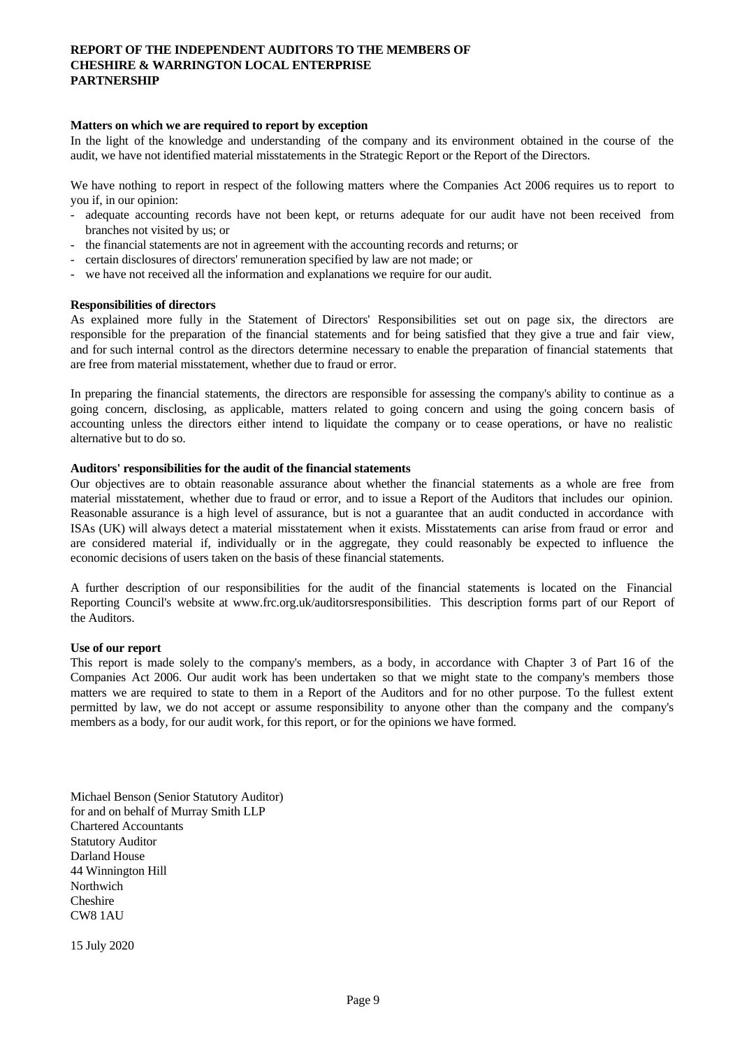## **REPORT OF THE INDEPENDENT AUDITORS TO THE MEMBERS OF CHESHIRE & WARRINGTON LOCAL ENTERPRISE PARTNERSHIP**

#### **Matters on which we are required to report by exception**

In the light of the knowledge and understanding of the company and its environment obtained in the course of the audit, we have not identified material misstatements in the Strategic Report or the Report of the Directors.

We have nothing to report in respect of the following matters where the Companies Act 2006 requires us to report to you if, in our opinion:<br>- adequate accounting records have not been kept, or returns adequate for our audit have not been received from

- 
- branches not visited by us; or<br>the financial statements are not in agreement with the accounting records and returns; or<br>certain disclosures of directors' remuneration specified by law are not made; or<br>we have not received
- 
- 

#### **Responsibilities of directors**

As explained more fully in the Statement of Directors' Responsibilities set out on page six, the directors are responsible for the preparation of the financial statements and for being satisfied that they give a true and fair view, and for such internal control as the directors determine necessary to enable the preparation of financial statements that are free from material misstatement, whether due to fraud or error.

In preparing the financial statements, the directors are responsible for assessing the company's ability to continue as a going concern, disclosing, as applicable, matters related to going concern and using the going concern basis of accounting unless the directors either intend to liquidate the company or to cease operations, or have no realistic alternative but to do so.

#### **Auditors' responsibilities for the audit of the financial statements**

Our objectives are to obtain reasonable assurance about whether the financial statements as a whole are free from material misstatement, whether due to fraud or error, and to issue a Report of the Auditors that includes our opinion. Reasonable assurance is a high level of assurance, but is not a guarantee that an audit conducted in accordance with ISAs (UK) will always detect a material misstatement when it exists. Misstatements can arise from fraud or error and are considered material if, individually or in the aggregate, they could reasonably be expected to influence the economic decisions of users taken on the basis of these financial statements.

A further description of our responsibilities for the audit of the financial statements is located on the Financial Reporting Council's website at www.frc.org.uk/auditorsresponsibilities. This description forms part of our Report of the Auditors.

#### **Use of our report**

This report is made solely to the company's members, as a body, in accordance with Chapter 3 of Part 16 of the Companies Act 2006. Our audit work has been undertaken so that we might state to the company's members those matters we are required to state to them in a Report of the Auditors and for no other purpose. To the fullest extent permitted by law, we do not accept or assume responsibility to anyone other than the company and the company's members as a body, for our audit work, for this report, or for the opinions we have formed.

Michael Benson (Senior Statutory Auditor) for and on behalf of Murray Smith LLP Chartered Accountants Statutory Auditor Darland House 44 Winnington Hill Northwich Cheshire CW8 1AU

15 July 2020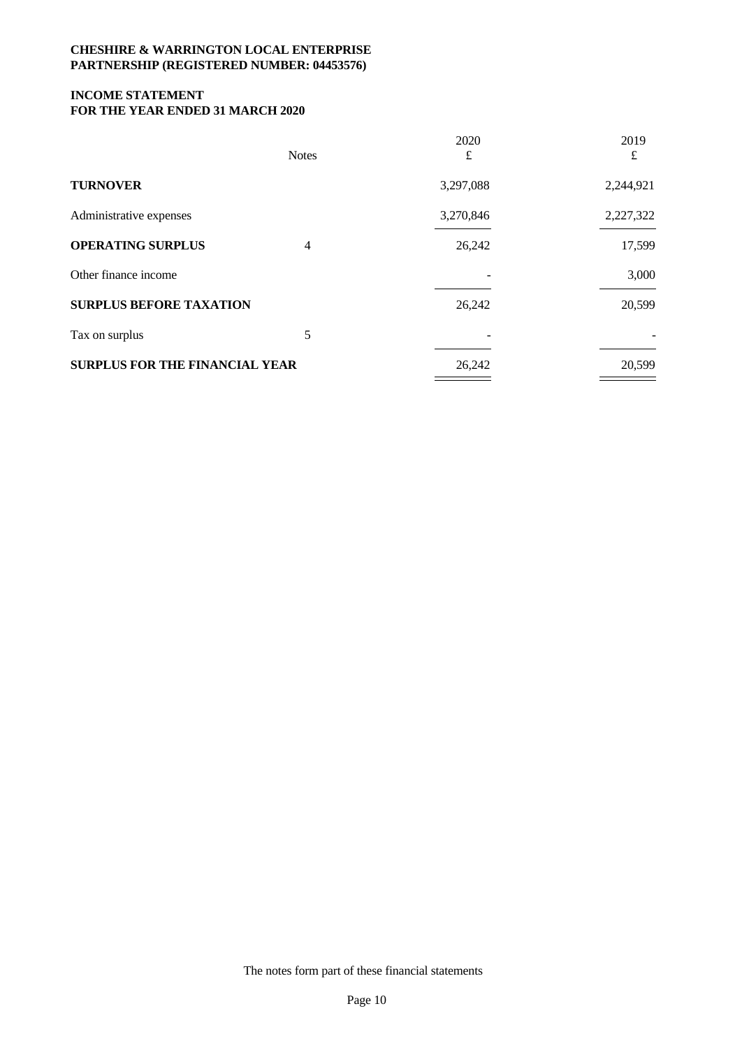## **INCOME STATEMENT FOR THE YEAR ENDED 31 MARCH 2020**

|                                       | <b>Notes</b> | 2020<br>£ | 2019<br>£ |
|---------------------------------------|--------------|-----------|-----------|
| <b>TURNOVER</b>                       |              | 3,297,088 | 2,244,921 |
| Administrative expenses               |              | 3,270,846 | 2,227,322 |
| <b>OPERATING SURPLUS</b>              | 4            | 26,242    | 17,599    |
| Other finance income                  |              |           | 3,000     |
| <b>SURPLUS BEFORE TAXATION</b>        |              | 26,242    | 20,599    |
| Tax on surplus                        | 5            |           |           |
| <b>SURPLUS FOR THE FINANCIAL YEAR</b> |              | 26,242    | 20,599    |

The notes form part of these financial statements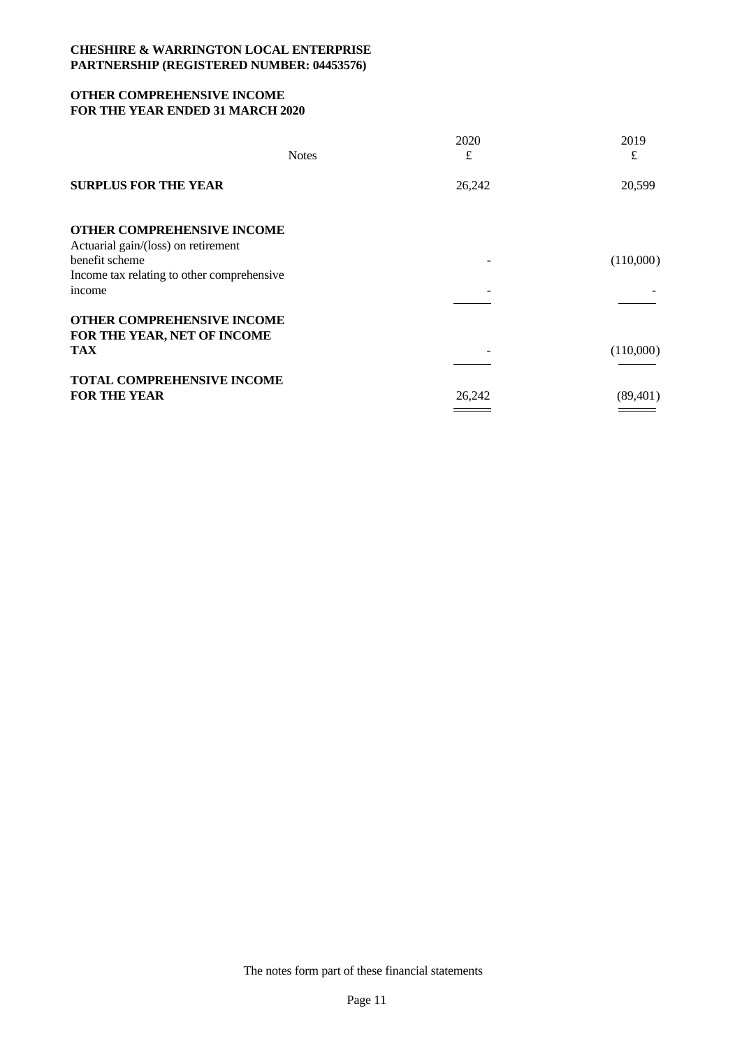### **OTHER COMPREHENSIVE INCOME FOR THE YEAR ENDED 31 MARCH 2020**

|                                                                          | <b>Notes</b> | 2020<br>$\pounds$ | 2019<br>£ |  |
|--------------------------------------------------------------------------|--------------|-------------------|-----------|--|
| <b>SURPLUS FOR THE YEAR</b>                                              |              | 26,242            | 20,599    |  |
| <b>OTHER COMPREHENSIVE INCOME</b><br>Actuarial gain/(loss) on retirement |              |                   |           |  |
| benefit scheme<br>Income tax relating to other comprehensive             |              |                   | (110,000) |  |
| income                                                                   |              |                   |           |  |
| <b>OTHER COMPREHENSIVE INCOME</b><br>FOR THE YEAR, NET OF INCOME         |              |                   |           |  |
| <b>TAX</b>                                                               |              |                   | (110,000) |  |
| TOTAL COMPREHENSIVE INCOME<br><b>FOR THE YEAR</b>                        |              | 26,242            | (89, 401) |  |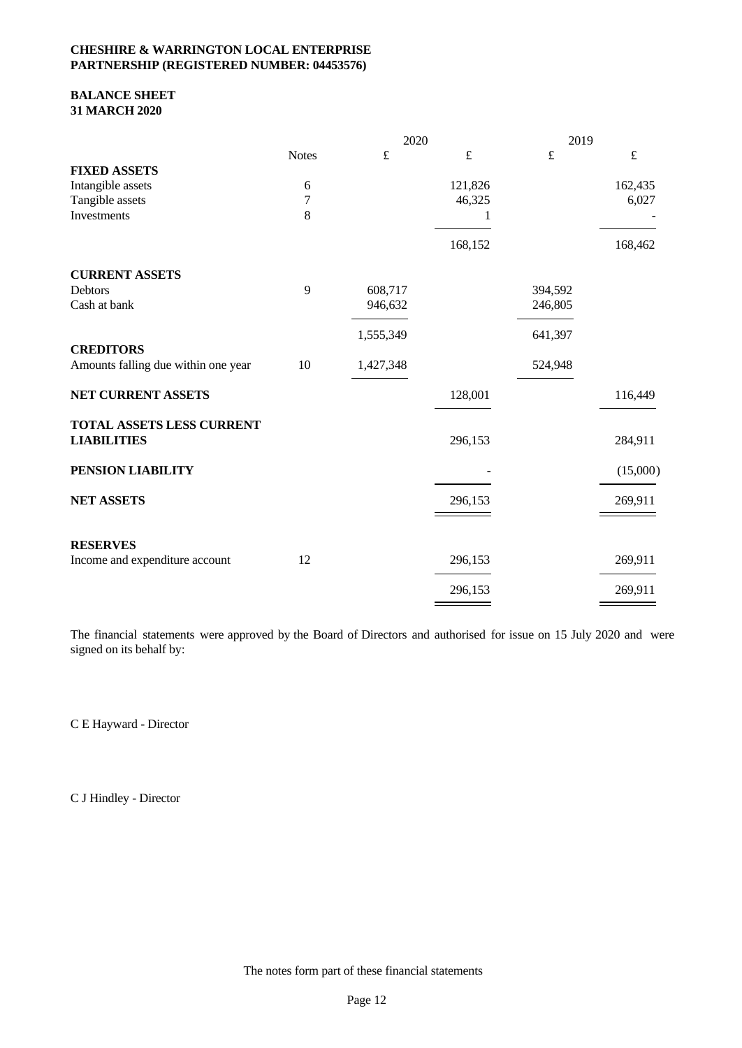### **BALANCE SHEET 31 MARCH 2020**

|                                                   |              | 2020      |           | 2019      |           |
|---------------------------------------------------|--------------|-----------|-----------|-----------|-----------|
|                                                   | <b>Notes</b> | $\pounds$ | $\pounds$ | $\pounds$ | $\pounds$ |
| <b>FIXED ASSETS</b>                               |              |           |           |           |           |
| Intangible assets                                 | 6            |           | 121,826   |           | 162,435   |
| Tangible assets                                   | 7            |           | 46,325    |           | 6,027     |
| Investments                                       | 8            |           | 1         |           |           |
|                                                   |              |           | 168,152   |           | 168,462   |
| <b>CURRENT ASSETS</b>                             |              |           |           |           |           |
| Debtors                                           | 9            | 608,717   |           | 394,592   |           |
| Cash at bank                                      |              | 946,632   |           | 246,805   |           |
|                                                   |              | 1,555,349 |           | 641,397   |           |
| <b>CREDITORS</b>                                  |              |           |           |           |           |
| Amounts falling due within one year               | 10           | 1,427,348 |           | 524,948   |           |
| NET CURRENT ASSETS                                |              |           | 128,001   |           | 116,449   |
| TOTAL ASSETS LESS CURRENT                         |              |           |           |           |           |
| <b>LIABILITIES</b>                                |              |           | 296,153   |           | 284,911   |
| PENSION LIABILITY                                 |              |           |           |           | (15,000)  |
| <b>NET ASSETS</b>                                 |              |           | 296,153   |           | 269,911   |
|                                                   |              |           |           |           |           |
| <b>RESERVES</b><br>Income and expenditure account | 12           |           | 296,153   |           | 269,911   |
|                                                   |              |           |           |           |           |
|                                                   |              |           | 296,153   |           | 269,911   |
|                                                   |              |           |           |           |           |

The financial statements were approved by the Board of Directors and authorised for issue on 15 July 2020 and were signed on its behalf by:

C E Hayward - Director

C J Hindley - Director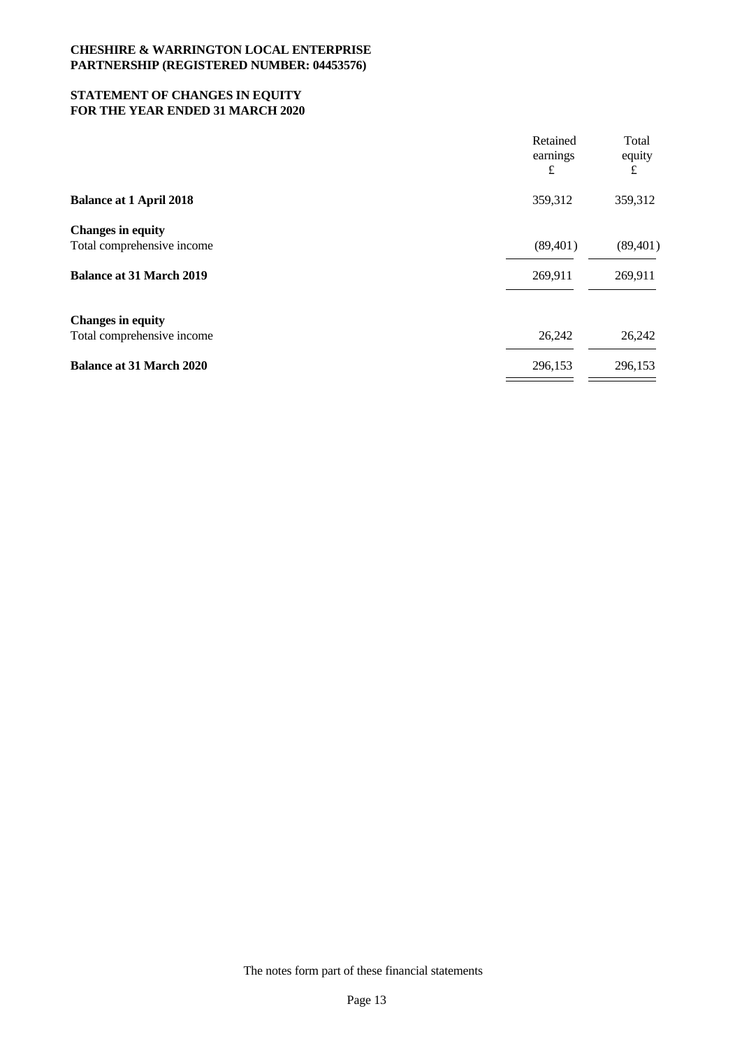### **STATEMENT OF CHANGES IN EQUITY FOR THE YEAR ENDED 31 MARCH 2020**

|                                                                                           | Retained<br>earnings<br>£ | Total<br>equity<br>£ |  |
|-------------------------------------------------------------------------------------------|---------------------------|----------------------|--|
| <b>Balance at 1 April 2018</b>                                                            | 359,312                   | 359,312              |  |
| <b>Changes in equity</b><br>Total comprehensive income<br><b>Balance at 31 March 2019</b> | (89, 401)<br>269,911      | (89, 401)<br>269,911 |  |
| <b>Changes in equity</b><br>Total comprehensive income                                    | 26,242                    | 26,242               |  |
| <b>Balance at 31 March 2020</b>                                                           | 296,153                   | 296,153              |  |
|                                                                                           |                           |                      |  |

The notes form part of these financial statements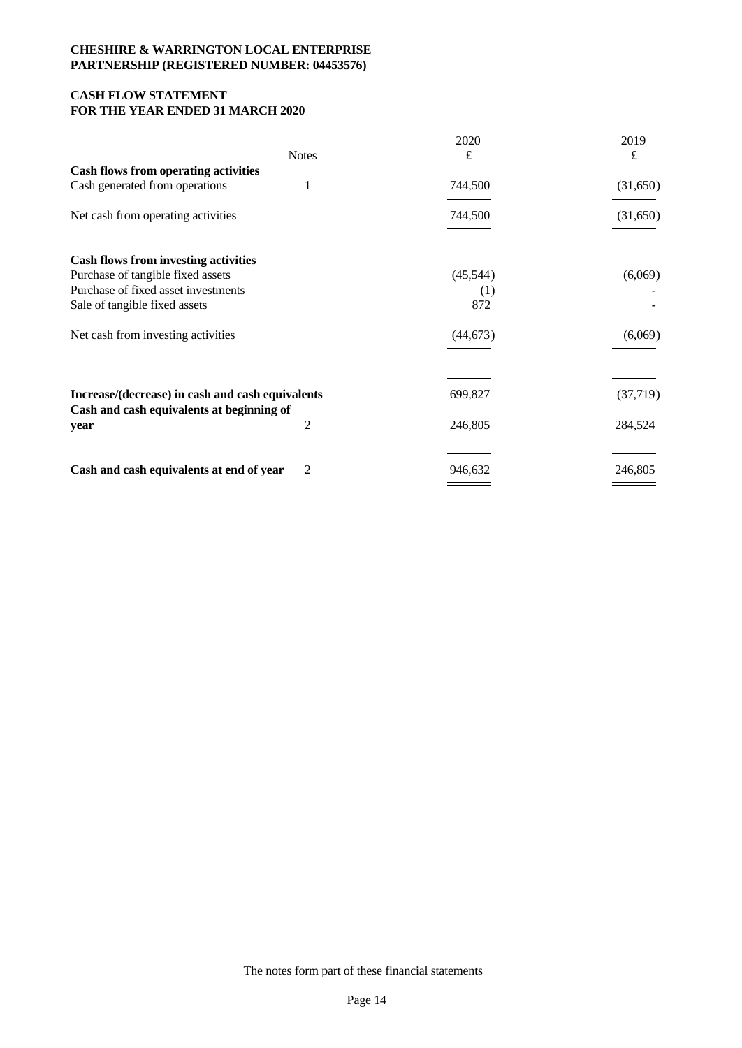# **CASH FLOW STATEMENT FOR THE YEAR ENDED 31 MARCH 2020**

|                                                                                               |              | 2020      | 2019      |
|-----------------------------------------------------------------------------------------------|--------------|-----------|-----------|
|                                                                                               | <b>Notes</b> | £         | £         |
| <b>Cash flows from operating activities</b>                                                   |              |           |           |
| Cash generated from operations                                                                |              | 744,500   | (31,650)  |
| Net cash from operating activities                                                            |              | 744,500   | (31,650)  |
| <b>Cash flows from investing activities</b>                                                   |              |           |           |
| Purchase of tangible fixed assets                                                             |              | (45,544)  | (6,069)   |
| Purchase of fixed asset investments                                                           |              | (1)       |           |
| Sale of tangible fixed assets                                                                 |              | 872       |           |
| Net cash from investing activities                                                            |              | (44, 673) | (6,069)   |
|                                                                                               |              |           |           |
| Increase/(decrease) in cash and cash equivalents<br>Cash and cash equivalents at beginning of |              | 699,827   | (37, 719) |
| year                                                                                          | 2            | 246,805   | 284,524   |
|                                                                                               |              |           |           |
| Cash and cash equivalents at end of year                                                      | 2            | 946,632   | 246,805   |
|                                                                                               |              |           |           |

The notes form part of these financial statements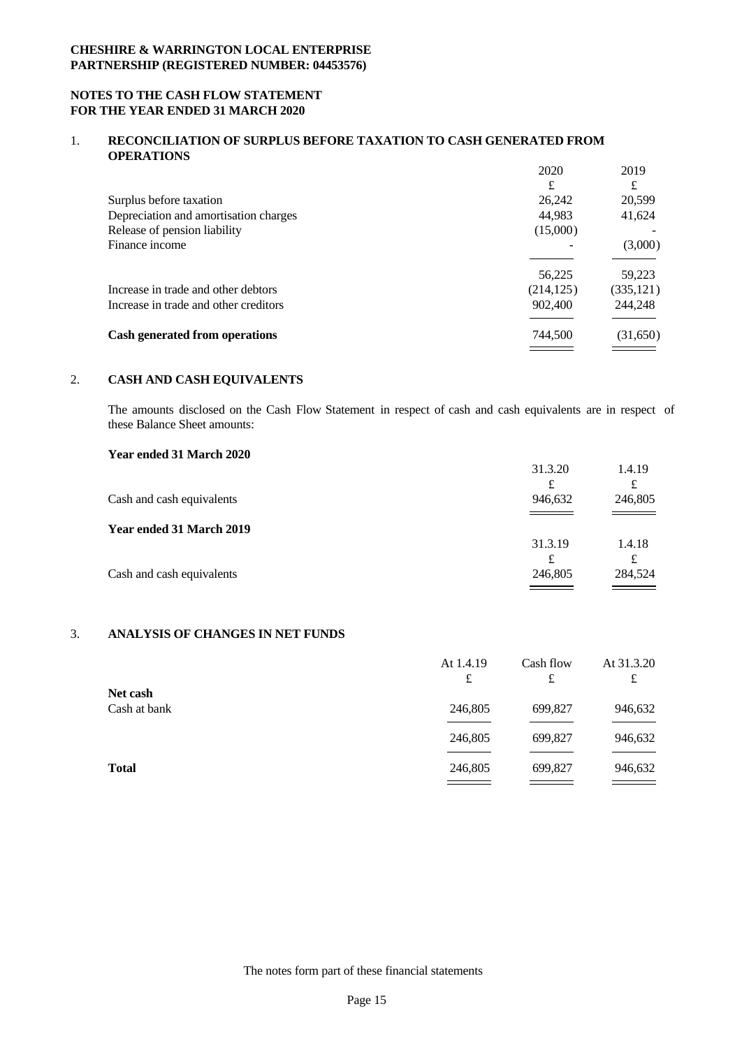### **NOTES TO THE CASH FLOW STATEMENT FOR THE YEAR ENDED 31 MARCH 2020**

### 1. **RECONCILIATION OF SURPLUS BEFORE TAXATION TO CASH GENERATED FROM OPERATIONS**

|                                       | 2020       | 2019       |
|---------------------------------------|------------|------------|
|                                       | £          | £          |
| Surplus before taxation               | 26,242     | 20,599     |
| Depreciation and amortisation charges | 44,983     | 41,624     |
| Release of pension liability          | (15,000)   |            |
| Finance income                        |            | (3,000)    |
|                                       |            |            |
|                                       | 56,225     | 59,223     |
| Increase in trade and other debtors   | (214, 125) | (335, 121) |
| Increase in trade and other creditors | 902,400    | 244,248    |
|                                       |            |            |
| Cash generated from operations        | 744,500    | (31,650)   |
|                                       |            |            |

# 2. **CASH AND CASH EQUIVALENTS**

The amounts disclosed on the Cash Flow Statement in respect of cash and cash equivalents are in respect of these Balance Sheet amounts:

#### **Year ended 31 March 2020**

|                           | 31.3.20 | 1.4.19  |  |
|---------------------------|---------|---------|--|
|                           | £       |         |  |
| Cash and cash equivalents | 946,632 | 246,805 |  |
|                           |         |         |  |
| Year ended 31 March 2019  |         |         |  |
|                           | 31.3.19 | 1.4.18  |  |
|                           | £       |         |  |
| Cash and cash equivalents | 246,805 | 284,524 |  |
|                           |         |         |  |

## 3. **ANALYSIS OF CHANGES IN NET FUNDS**

| At 1.4.19<br>£ | Cash flow<br>£ | At 31.3.20<br>£ |
|----------------|----------------|-----------------|
|                |                |                 |
|                | 699,827        | 946,632         |
| 246,805        | 699,827        | 946,632         |
| 246,805        | 699,827        | 946,632         |
|                | 246,805        |                 |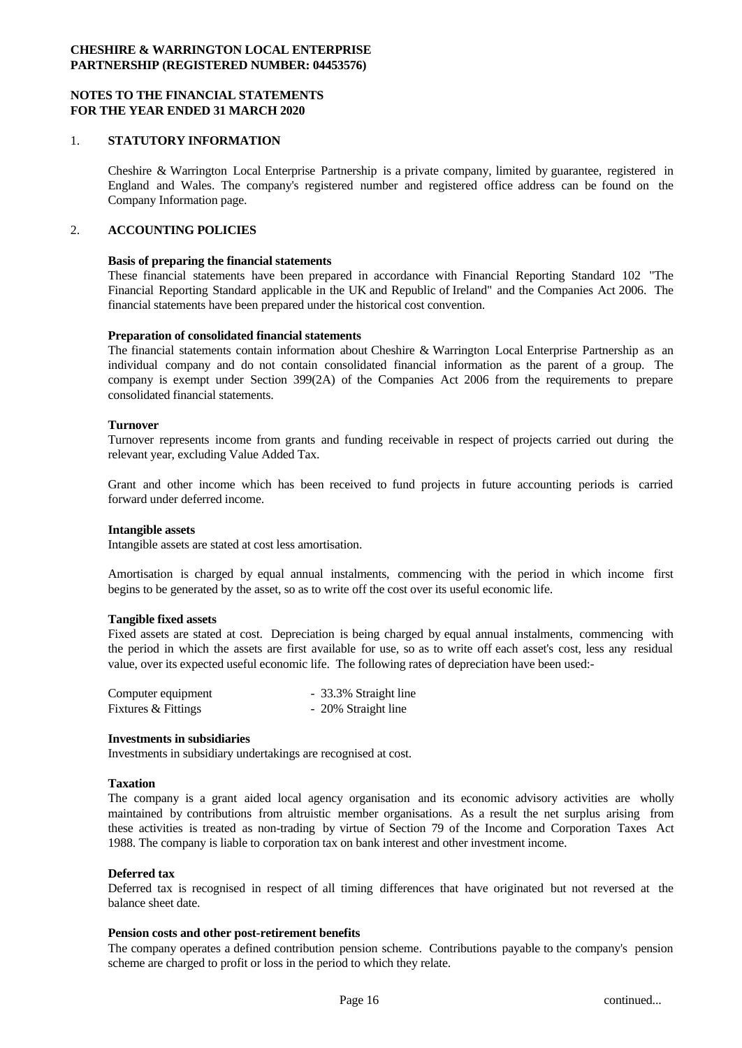### **NOTES TO THE FINANCIAL STATEMENTS FOR THE YEAR ENDED 31 MARCH 2020**

### 1. **STATUTORY INFORMATION**

Cheshire & Warrington Local Enterprise Partnership is a private company, limited by guarantee, registered in England and Wales. The company's registered number and registered office address can be found on the Company Information page.

### 2. **ACCOUNTING POLICIES**

#### **Basis of preparing the financial statements**

These financial statements have been prepared in accordance with Financial Reporting Standard 102 "The Financial Reporting Standard applicable in the UK and Republic of Ireland" and the Companies Act 2006. The financial statements have been prepared under the historical cost convention.

#### **Preparation of consolidated financial statements**

The financial statements contain information about Cheshire & Warrington Local Enterprise Partnership as an individual company and do not contain consolidated financial information as the parent of a group. The company is exempt under Section 399(2A) of the Companies Act 2006 from the requirements to prepare consolidated financial statements.

#### **Turnover**

Turnover represents income from grants and funding receivable in respect of projects carried out during the relevant year, excluding Value Added Tax.

Grant and other income which has been received to fund projects in future accounting periods is carried forward under deferred income.

#### **Intangible assets**

Intangible assets are stated at cost less amortisation.

Amortisation is charged by equal annual instalments, commencing with the period in which income first begins to be generated by the asset, so as to write off the cost over its useful economic life.

#### **Tangible fixed assets**

Fixed assets are stated at cost. Depreciation is being charged by equal annual instalments, commencing with the period in which the assets are first available for use, so as to write off each asset's cost, less any residual value, over its expected useful economic life. The following rates of depreciation have been used:-

| Computer equipment  | - 33.3% Straight line |
|---------------------|-----------------------|
| Fixtures & Fittings | - 20% Straight line   |

### **Investments in subsidiaries**

Investments in subsidiary undertakings are recognised at cost.

#### **Taxation**

The company is a grant aided local agency organisation and its economic advisory activities are wholly maintained by contributions from altruistic member organisations. As a result the net surplus arising from these activities is treated as non-trading by virtue of Section 79 of the Income and Corporation Taxes Act 1988. The company is liable to corporation tax on bank interest and other investment income.

#### **Deferred tax**

Deferred tax is recognised in respect of all timing differences that have originated but not reversed at the balance sheet date.

#### **Pension costs and other post-retirement benefits**

The company operates a defined contribution pension scheme. Contributions payable to the company's pension scheme are charged to profit or loss in the period to which they relate.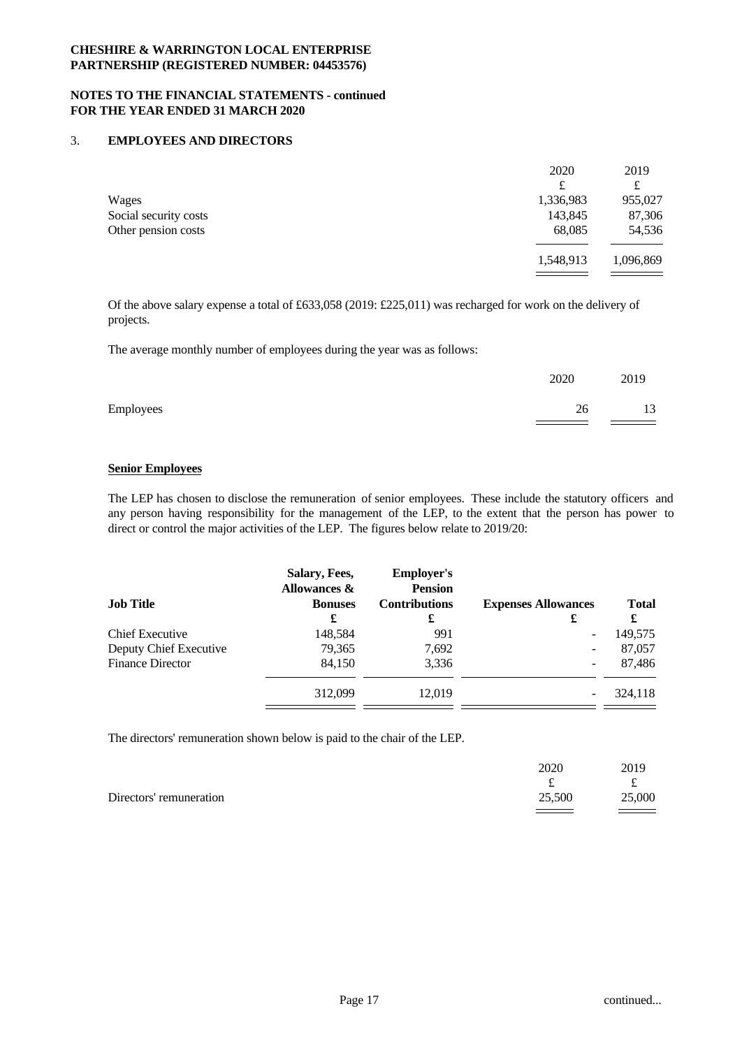#### **NOTES TO THE FINANCIAL STATEMENTS - continued FOR THE YEAR ENDED 31 MARCH 2020**

#### 3. **EMPLOYEES AND DIRECTORS**

|                       | 2020      | 2019      |
|-----------------------|-----------|-----------|
|                       | £         | £<br>ىد   |
| Wages                 | 1,336,983 | 955,027   |
| Social security costs | 143,845   | 87,306    |
| Other pension costs   | 68,085    | 54,536    |
|                       | 1,548,913 | 1,096,869 |
|                       |           |           |

Of the above salary expense a total of £633,058 (2019: £225,011) was recharged for work on the delivery of projects.

The average monthly number of employees during the year was as follows:

|           | 2020 | 2019                              |
|-----------|------|-----------------------------------|
| Employees | 26   | 13<br>$\sim$ $\sim$ $\sim$ $\sim$ |

## **Senior Employees**

The LEP has chosen to disclose the remuneration of senior employees. These include the statutory officers and any person having responsibility for the management of the LEP, to the extent that the person has power to direct or control the major activities of the LEP. The figures below relate to 2019/20:

| Salary, Fees,<br><b>Allowances &amp;</b><br><b>Bonuses</b> | <b>Employer's</b><br><b>Pension</b><br><b>Contributions</b> | <b>Expenses Allowances</b> | <b>Total</b>                  |
|------------------------------------------------------------|-------------------------------------------------------------|----------------------------|-------------------------------|
|                                                            |                                                             |                            |                               |
|                                                            |                                                             |                            | 149,575                       |
| 79,365                                                     | 7,692                                                       | $\sim$                     | 87,057                        |
| 84.150                                                     | 3,336                                                       | $\overline{\phantom{a}}$   | 87.486                        |
| 312,099                                                    | 12,019                                                      | $\overline{\phantom{a}}$   | 324,118                       |
|                                                            | £<br>148,584                                                | £<br>991                   | £<br>$\overline{\phantom{a}}$ |

The directors' remuneration shown below is paid to the chair of the LEP.

|                         | 2020   | 2019   |
|-------------------------|--------|--------|
|                         |        | ົ      |
| Directors' remuneration | 25,500 | 25,000 |
|                         |        |        |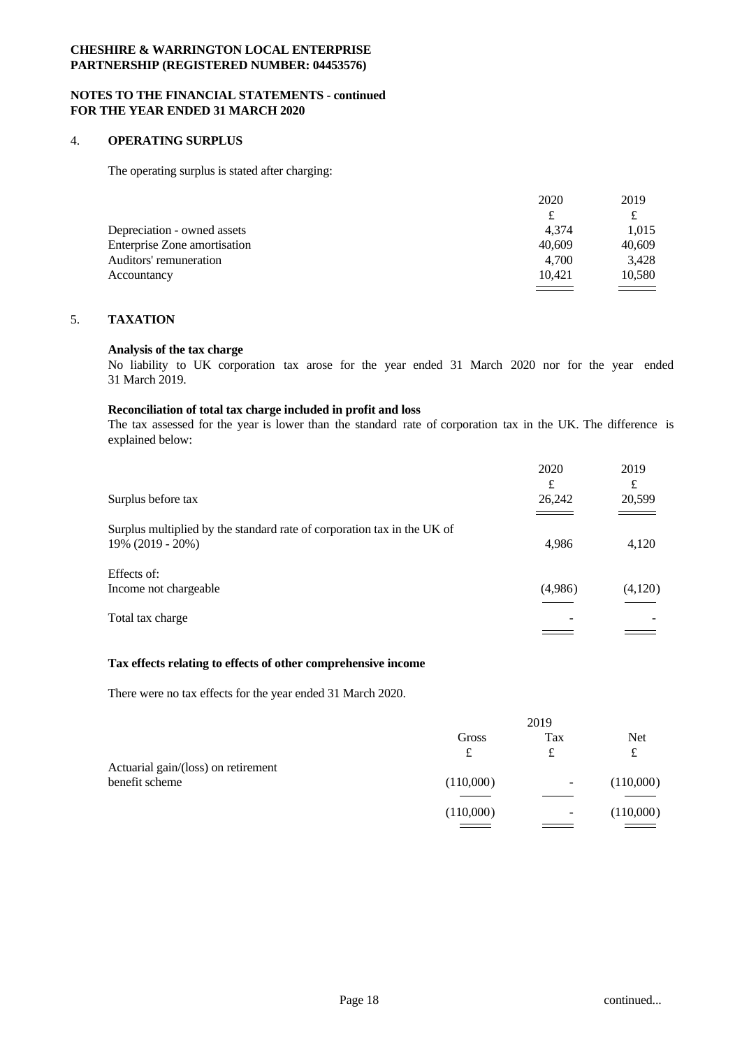#### **NOTES TO THE FINANCIAL STATEMENTS - continued FOR THE YEAR ENDED 31 MARCH 2020**

## 4. **OPERATING SURPLUS**

The operating surplus is stated after charging:

|                              | 2020   | 2019   |  |
|------------------------------|--------|--------|--|
|                              | £      |        |  |
| Depreciation - owned assets  | 4.374  | 1.015  |  |
| Enterprise Zone amortisation | 40.609 | 40,609 |  |
| Auditors' remuneration       | 4,700  | 3,428  |  |
| Accountancy                  | 10.421 | 10,580 |  |
|                              |        |        |  |

# 5. **TAXATION**

### **Analysis of the tax charge**

No liability to UK corporation tax arose for the year ended 31 March 2020 nor for the year ended 31 March 2019.

## **Reconciliation of total tax charge included in profit and loss**

The tax assessed for the year is lower than the standard rate of corporation tax in the UK. The difference is explained below:

| Surplus before tax                                                                             | 2020<br>£<br>26,242 | 2019<br>£<br>20,599 |  |
|------------------------------------------------------------------------------------------------|---------------------|---------------------|--|
| Surplus multiplied by the standard rate of corporation tax in the UK of<br>$19\%$ (2019 - 20%) | 4,986               | 4,120               |  |
| Effects of:<br>Income not chargeable                                                           | (4,986)             | (4,120)             |  |
| Total tax charge                                                                               |                     | -                   |  |

#### **Tax effects relating to effects of other comprehensive income**

There were no tax effects for the year ended 31 March 2020.

|                                     |           | 2019                     |           |
|-------------------------------------|-----------|--------------------------|-----------|
|                                     | Gross     | Tax                      | Net       |
|                                     | £         | £                        | £         |
| Actuarial gain/(loss) on retirement |           |                          |           |
| benefit scheme                      | (110,000) | $\overline{\phantom{a}}$ | (110,000) |
|                                     |           |                          |           |
|                                     | (110,000) | $\overline{\phantom{a}}$ | (110,000) |
|                                     |           |                          |           |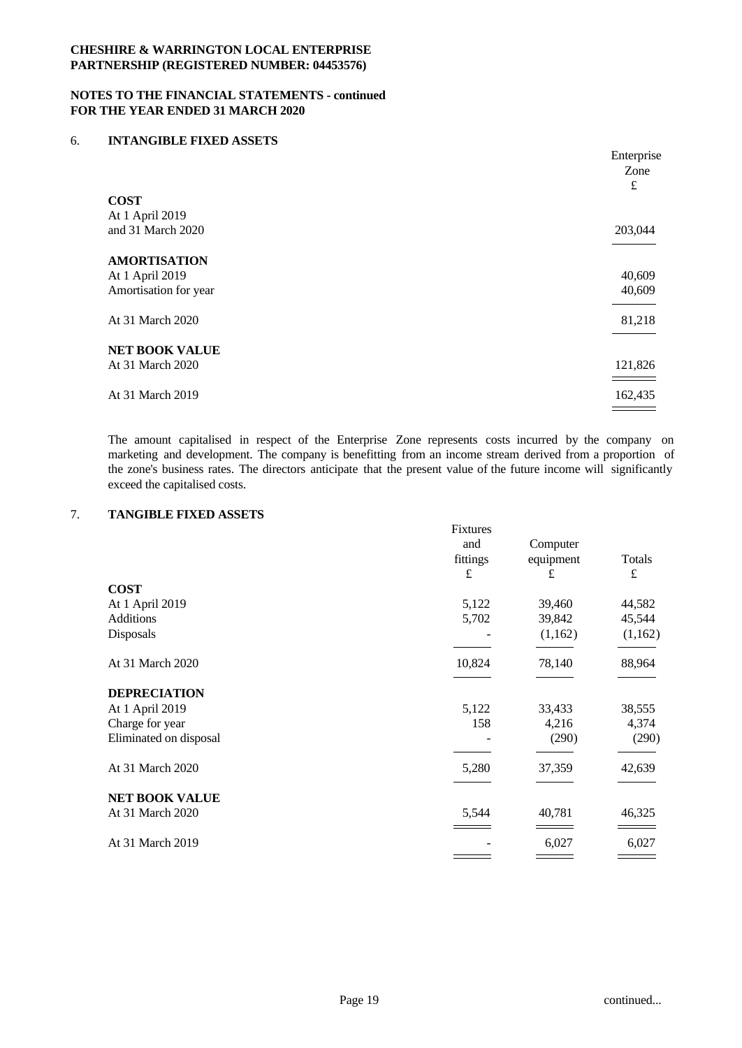### **NOTES TO THE FINANCIAL STATEMENTS - continued FOR THE YEAR ENDED 31 MARCH 2020**

#### 6. **INTANGIBLE FIXED ASSETS**

|                                | Enterprise<br>Zone |
|--------------------------------|--------------------|
|                                | £                  |
| <b>COST</b><br>At 1 April 2019 |                    |
| and 31 March 2020              | 203,044            |
| <b>AMORTISATION</b>            |                    |
| At 1 April 2019                | 40,609             |
| Amortisation for year          | 40,609             |
| At 31 March 2020               | 81,218             |
| <b>NET BOOK VALUE</b>          |                    |
| At 31 March 2020               | 121,826            |
| At 31 March 2019               | 162,435            |
|                                |                    |

The amount capitalised in respect of the Enterprise Zone represents costs incurred by the company on marketing and development. The company is benefitting from an income stream derived from aproportion of the zone's business rates. The directors anticipate that the present value of the future income will significantly exceed the capitalised costs.

#### 7. **TANGIBLE FIXED ASSETS**

|                        | Fixtures  |           |           |  |
|------------------------|-----------|-----------|-----------|--|
|                        | and       | Computer  |           |  |
|                        | fittings  | equipment | Totals    |  |
|                        | $\pounds$ | £         | $\pounds$ |  |
| <b>COST</b>            |           |           |           |  |
| At 1 April 2019        | 5,122     | 39,460    | 44,582    |  |
| Additions              | 5,702     | 39,842    | 45,544    |  |
| Disposals              |           | (1,162)   | (1,162)   |  |
|                        |           |           |           |  |
| At 31 March 2020       | 10,824    | 78,140    | 88,964    |  |
|                        |           |           |           |  |
| <b>DEPRECIATION</b>    |           |           |           |  |
| At 1 April 2019        | 5,122     | 33,433    | 38,555    |  |
| Charge for year        | 158       | 4,216     | 4,374     |  |
| Eliminated on disposal |           | (290)     | (290)     |  |
|                        |           |           |           |  |
| At 31 March 2020       | 5,280     | 37,359    | 42,639    |  |
|                        |           |           |           |  |
| <b>NET BOOK VALUE</b>  |           |           |           |  |
| At 31 March 2020       | 5,544     | 40,781    | 46,325    |  |
|                        |           |           |           |  |
| At 31 March 2019       |           | 6,027     | 6,027     |  |
|                        |           |           |           |  |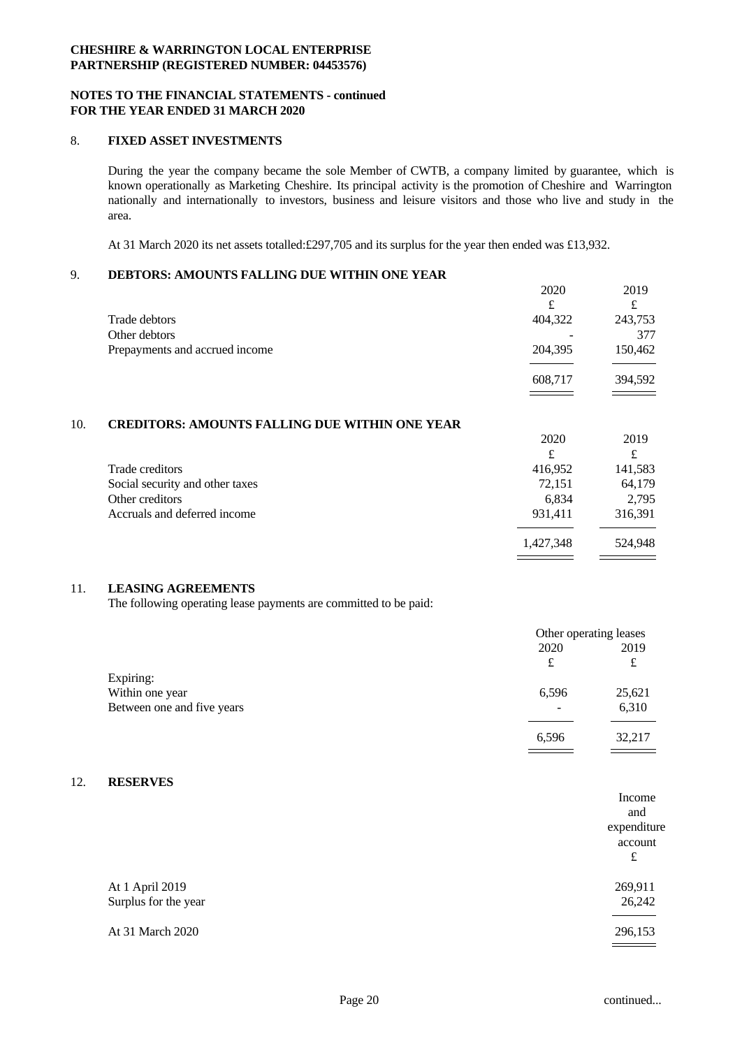# **NOTES TO THE FINANCIAL STATEMENTS - continued FOR THE YEAR ENDED 31 MARCH 2020**

### 8. **FIXED ASSET INVESTMENTS**

During the year the company became the sole Member of CWTB, a company limited by guarantee, which is known operationally as Marketing Cheshire. Its principal activity is the promotion of Cheshire and Warrington nationally and internationally to investors, business and leisure visitors and those who live and study in the area.

At 31 March 2020 its net assets totalled:£297,705 and its surplus for the year then ended was £13,932.

#### 9. **DEBTORS: AMOUNTS FALLING DUE WITHIN ONE YEAR**

|                                | 2020                     | 2019    |  |
|--------------------------------|--------------------------|---------|--|
|                                | £                        | £       |  |
| Trade debtors                  | 404,322                  | 243,753 |  |
| Other debtors                  | $\overline{\phantom{a}}$ | 377     |  |
| Prepayments and accrued income | 204,395                  | 150,462 |  |
|                                |                          |         |  |
|                                | 608,717                  | 394,592 |  |
|                                |                          |         |  |

# 10. **CREDITORS: AMOUNTS FALLING DUE WITHIN ONE YEAR**

|                                 | 2020      | 2019    |  |
|---------------------------------|-----------|---------|--|
|                                 | £         | £       |  |
| Trade creditors                 | 416,952   | 141,583 |  |
| Social security and other taxes | 72,151    | 64,179  |  |
| Other creditors                 | 6,834     | 2,795   |  |
| Accruals and deferred income    | 931,411   | 316,391 |  |
|                                 |           |         |  |
|                                 | 1,427,348 | 524,948 |  |
|                                 |           |         |  |

# 11. **LEASING AGREEMENTS**

The following operating lease payments are committed to be paid:

| Other operating leases   |        |  |
|--------------------------|--------|--|
| 2020                     | 2019   |  |
| £                        | £      |  |
|                          |        |  |
| 6,596                    | 25,621 |  |
| $\overline{\phantom{a}}$ | 6,310  |  |
|                          |        |  |
| 6,596                    | 32,217 |  |
|                          |        |  |

#### 12. **RESERVES**

|                      | Income      |
|----------------------|-------------|
|                      | and         |
|                      | expenditure |
|                      | account     |
|                      | £           |
|                      |             |
| At 1 April 2019      | 269,911     |
| Surplus for the year | 26,242      |
|                      |             |
| At 31 March 2020     | 296,153     |
|                      |             |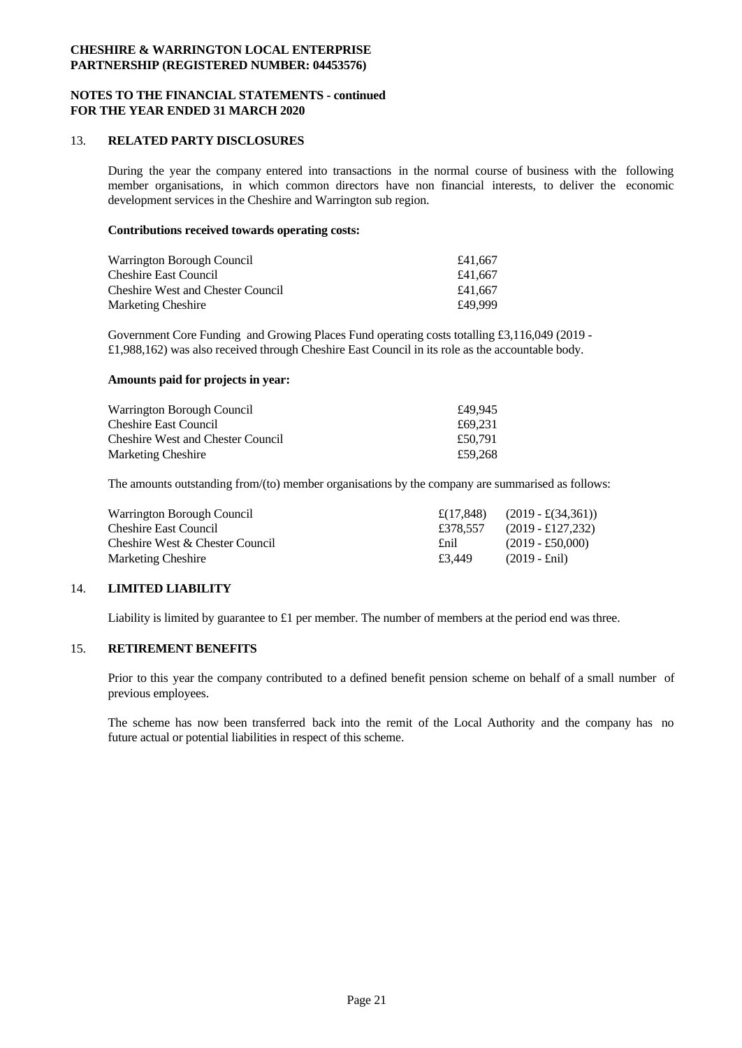### **NOTES TO THE FINANCIAL STATEMENTS - continued FOR THE YEAR ENDED 31 MARCH 2020**

## 13. **RELATED PARTY DISCLOSURES**

During the year the company entered into transactions in the normal course of business with the following member organisations, in which common directors have non financial interests, to deliver the economic development services in the Cheshire and Warrington sub region.

#### **Contributions received towards operating costs:**

| Warrington Borough Council               | £41,667 |  |
|------------------------------------------|---------|--|
| Cheshire East Council                    | £41.667 |  |
| <b>Cheshire West and Chester Council</b> | £41.667 |  |
| Marketing Cheshire                       | £49.999 |  |

Government Core Funding and Growing Places Fund operating costs totalling £3,116,049 (2019 - £1,988,162) was also received through Cheshire East Council in its role as the accountable body.

#### **Amounts paid for projects in year:**

| Warrington Borough Council               | £49.945 |  |
|------------------------------------------|---------|--|
| Cheshire East Council                    | £69.231 |  |
| <b>Cheshire West and Chester Council</b> | £50.791 |  |
| Marketing Cheshire                       | £59.268 |  |

The amounts outstanding from/(to) member organisations by the company are summarised as follows:

| Warrington Borough Council      |        | $\pounds(17,848)$ (2019 - £(34,361)) |
|---------------------------------|--------|--------------------------------------|
| <b>Cheshire East Council</b>    |        | £378,557 (2019 - £127,232)           |
| Cheshire West & Chester Council | £nil   | $(2019 - \pounds 50,000)$            |
| <b>Marketing Cheshire</b>       | £3.449 | $(2019 - \text{Enil})$               |

# 14. **LIMITED LIABILITY**

Liability is limited by guarantee to £1 per member. The number of members at the period end was three.

#### 15. **RETIREMENT BENEFITS**

Prior to this year the company contributed to a defined benefit pension scheme on behalf of a small number of previous employees.

The scheme has now been transferred back into the remit of the Local Authority and the company has no future actual or potential liabilities in respect of this scheme.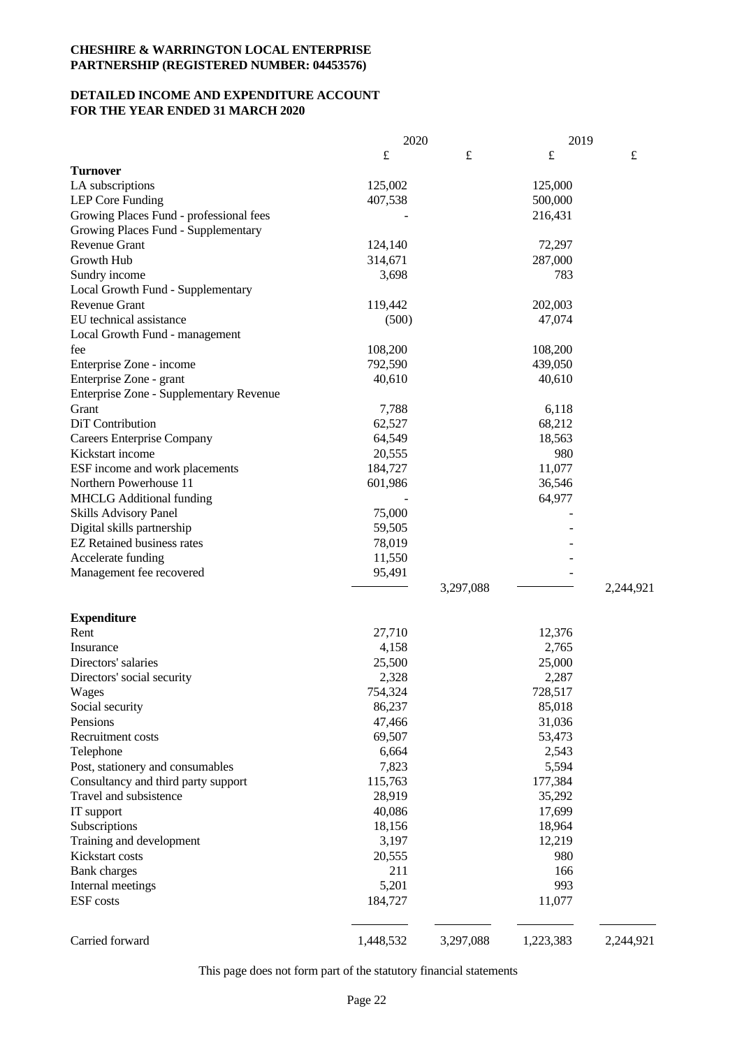# **DETAILED INCOME AND EXPENDITURE ACCOUNT FOR THE YEAR ENDED 31 MARCH 2020**

|                                         | 2020      |           | 2019      |           |
|-----------------------------------------|-----------|-----------|-----------|-----------|
|                                         | $\pounds$ | $\pounds$ | $\pounds$ | $\pounds$ |
| <b>Turnover</b>                         |           |           |           |           |
| LA subscriptions                        | 125,002   |           | 125,000   |           |
| <b>LEP</b> Core Funding                 | 407,538   |           | 500,000   |           |
| Growing Places Fund - professional fees |           |           | 216,431   |           |
| Growing Places Fund - Supplementary     |           |           |           |           |
| Revenue Grant                           | 124,140   |           | 72,297    |           |
| Growth Hub                              | 314,671   |           | 287,000   |           |
| Sundry income                           | 3,698     |           | 783       |           |
| Local Growth Fund - Supplementary       |           |           |           |           |
| Revenue Grant                           | 119,442   |           | 202,003   |           |
| EU technical assistance                 | (500)     |           | 47,074    |           |
| Local Growth Fund - management          |           |           |           |           |
| fee                                     | 108,200   |           | 108,200   |           |
|                                         | 792,590   |           | 439,050   |           |
| Enterprise Zone - income                | 40,610    |           | 40,610    |           |
| Enterprise Zone - grant                 |           |           |           |           |
| Enterprise Zone - Supplementary Revenue |           |           |           |           |
| Grant                                   | 7,788     |           | 6,118     |           |
| DiT Contribution                        | 62,527    |           | 68,212    |           |
| <b>Careers Enterprise Company</b>       | 64,549    |           | 18,563    |           |
| Kickstart income                        | 20,555    |           | 980       |           |
| ESF income and work placements          | 184,727   |           | 11,077    |           |
| Northern Powerhouse 11                  | 601,986   |           | 36,546    |           |
| <b>MHCLG</b> Additional funding         |           |           | 64,977    |           |
| Skills Advisory Panel                   | 75,000    |           |           |           |
| Digital skills partnership              | 59,505    |           |           |           |
| EZ Retained business rates              | 78,019    |           |           |           |
| Accelerate funding                      | 11,550    |           |           |           |
| Management fee recovered                | 95,491    |           |           |           |
|                                         |           | 3,297,088 |           | 2,244,921 |
|                                         |           |           |           |           |
| <b>Expenditure</b>                      |           |           |           |           |
| Rent                                    | 27,710    |           | 12,376    |           |
| Insurance                               | 4,158     |           | 2,765     |           |
| Directors' salaries                     | 25,500    |           | 25,000    |           |
| Directors' social security              | 2,328     |           | 2,287     |           |
| Wages                                   | 754,324   |           | 728,517   |           |
| Social security                         | 86,237    |           | 85,018    |           |
| Pensions                                | 47,466    |           | 31,036    |           |
| Recruitment costs                       | 69,507    |           | 53,473    |           |
| Telephone                               | 6,664     |           | 2,543     |           |
| Post, stationery and consumables        | 7,823     |           | 5,594     |           |
| Consultancy and third party support     | 115,763   |           | 177,384   |           |
| Travel and subsistence                  | 28,919    |           | 35,292    |           |
| IT support                              | 40,086    |           | 17,699    |           |
| Subscriptions                           | 18,156    |           | 18,964    |           |
| Training and development                | 3,197     |           | 12,219    |           |
| Kickstart costs                         | 20,555    |           | 980       |           |
|                                         |           |           |           |           |
| <b>Bank</b> charges                     | 211       |           | 166       |           |
| Internal meetings                       | 5,201     |           | 993       |           |
| ESF costs                               | 184,727   |           | 11,077    |           |
|                                         |           |           |           |           |
| Carried forward                         | 1,448,532 | 3,297,088 | 1,223,383 | 2,244,921 |
|                                         |           |           |           |           |

This page does not form part of the statutory financial statements